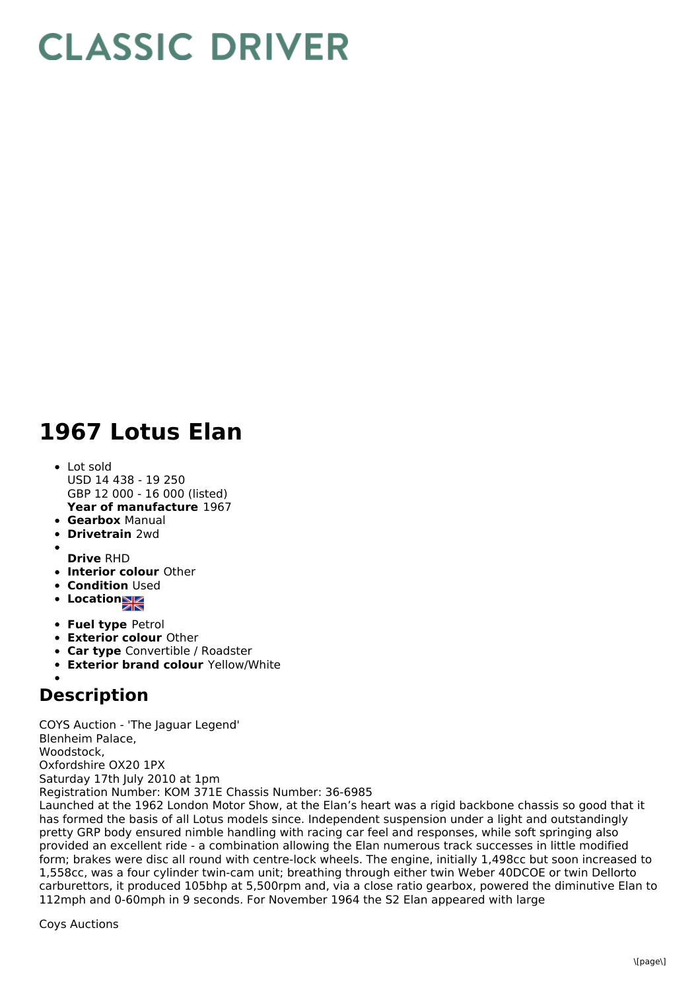## **CLASSIC DRIVER**

## **1967 Lotus Elan**

- **Year of manufacture** 1967 Lot sold USD 14 438 - 19 250 GBP 12 000 - 16 000 (listed)
- **Gearbox** Manual
- **Drivetrain** 2wd
- 
- **Drive** RHD
- **Interior colour** Other
- **Condition Used**
- **Location**
- **Fuel type** Petrol
- **Exterior colour** Other
- **Car type** Convertible / Roadster
- **Exterior brand colour** Yellow/White

## **Description**

COYS Auction - 'The Jaguar Legend' Blenheim Palace, Woodstock, Oxfordshire OX20 1PX Saturday 17th July 2010 at 1pm Registration Number: KOM 371E Chassis Number: 36-6985 Launched at the 1962 London Motor Show, at the Elan's heart was a rigid backbone chassis so good that it has formed the basis of all Lotus models since. Independent suspension under a light and outstandingly pretty GRP body ensured nimble handling with racing car feel and responses, while soft springing also provided an excellent ride - a combination allowing the Elan numerous track successes in little modified

form; brakes were disc all round with centre-lock wheels. The engine, initially 1,498cc but soon increased to 1,558cc, was a four cylinder twin-cam unit; breathing through either twin Weber 40DCOE or twin Dellorto carburettors, it produced 105bhp at 5,500rpm and, via a close ratio gearbox, powered the diminutive Elan to 112mph and 0-60mph in 9 seconds. For November 1964 the S2 Elan appeared with large

Coys Auctions